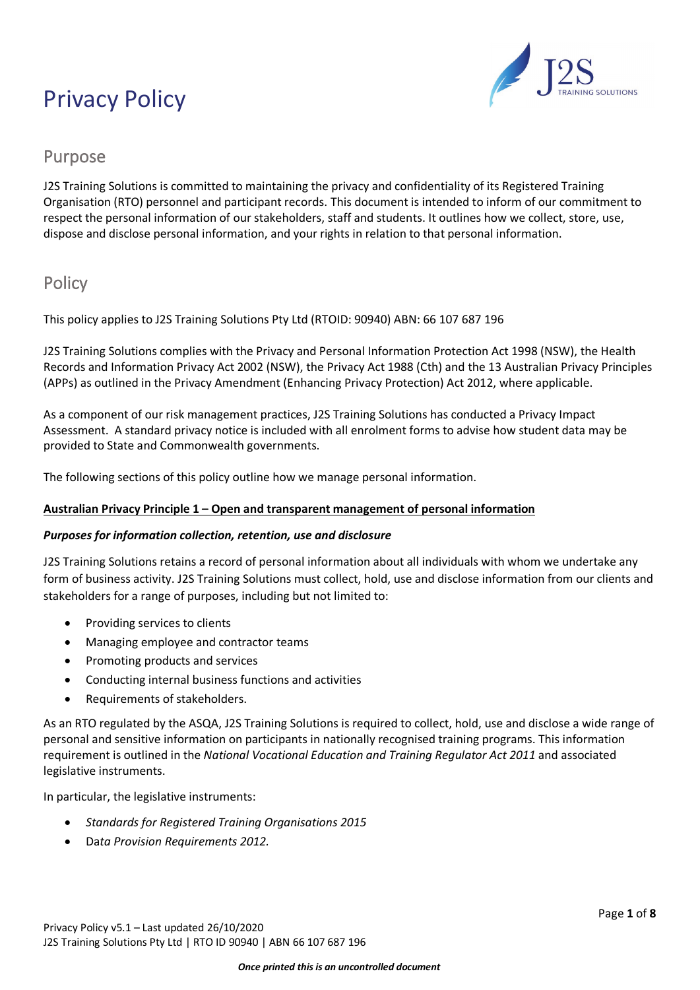

# Purpose

J2S Training Solutions is committed to maintaining the privacy and confidentiality of its Registered Training Organisation (RTO) personnel and participant records. This document is intended to inform of our commitment to respect the personal information of our stakeholders, staff and students. It outlines how we collect, store, use, dispose and disclose personal information, and your rights in relation to that personal information.

# **Policy**

This policy applies to J2S Training Solutions Pty Ltd (RTOID: 90940) ABN: 66 107 687 196

J2S Training Solutions complies with the Privacy and Personal Information Protection Act 1998 (NSW), the Health Records and Information Privacy Act 2002 (NSW), the Privacy Act 1988 (Cth) and the 13 Australian Privacy Principles (APPs) as outlined in the Privacy Amendment (Enhancing Privacy Protection) Act 2012, where applicable.

As a component of our risk management practices, J2S Training Solutions has conducted a Privacy Impact Assessment. A standard privacy notice is included with all enrolment forms to advise how student data may be provided to State and Commonwealth governments.

The following sections of this policy outline how we manage personal information.

# **Australian Privacy Principle 1 – Open and transparent management of personal information**

### *Purposes for information collection, retention, use and disclosure*

J2S Training Solutions retains a record of personal information about all individuals with whom we undertake any form of business activity. J2S Training Solutions must collect, hold, use and disclose information from our clients and stakeholders for a range of purposes, including but not limited to:

- Providing services to clients
- Managing employee and contractor teams
- Promoting products and services
- Conducting internal business functions and activities
- Requirements of stakeholders.

As an RTO regulated by the ASQA, J2S Training Solutions is required to collect, hold, use and disclose a wide range of personal and sensitive information on participants in nationally recognised training programs. This information requirement is outlined in the *National Vocational Education and Training Regulator Act 2011* and associated legislative instruments.

In particular, the legislative instruments:

- *Standards for Registered Training Organisations 2015*
- Da*ta Provision Requirements 2012.*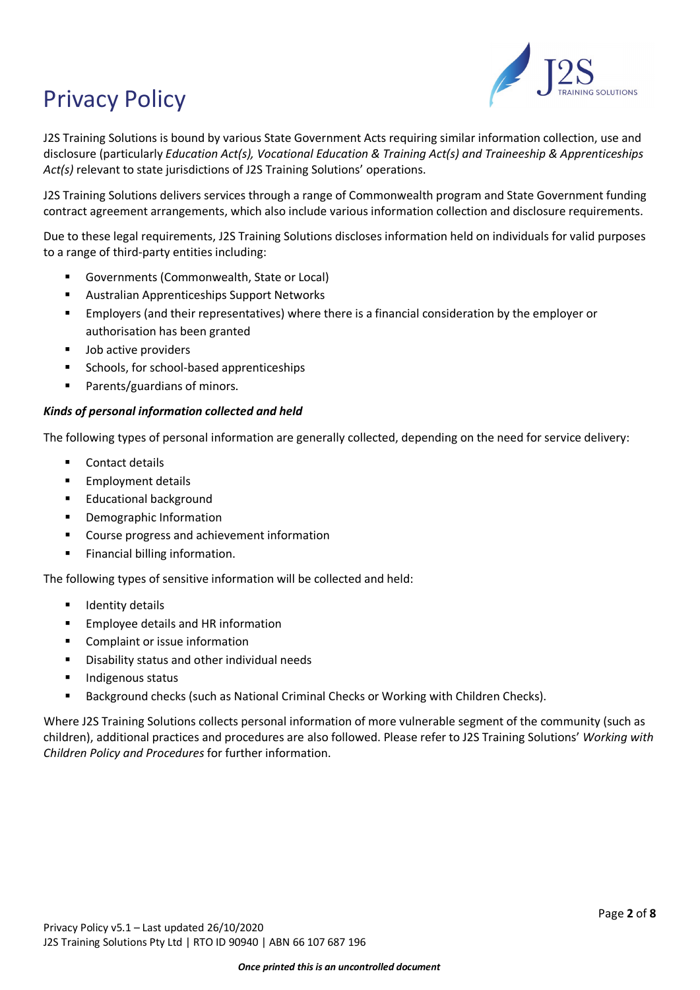

J2S Training Solutions is bound by various State Government Acts requiring similar information collection, use and disclosure (particularly *Education Act(s), Vocational Education & Training Act(s) and Traineeship & Apprenticeships Act(s)* relevant to state jurisdictions of J2S Training Solutions' operations.

J2S Training Solutions delivers services through a range of Commonwealth program and State Government funding contract agreement arrangements, which also include various information collection and disclosure requirements.

Due to these legal requirements, J2S Training Solutions discloses information held on individuals for valid purposes to a range of third-party entities including:

- Governments (Commonwealth, State or Local)
- **Australian Apprenticeships Support Networks**
- Employers (and their representatives) where there is a financial consideration by the employer or authorisation has been granted
- **Job active providers**
- **Schools, for school-based apprenticeships**
- Parents/guardians of minors.

### *Kinds of personal information collected and held*

The following types of personal information are generally collected, depending on the need for service delivery:

- **Contact details**
- **Employment details**
- **Educational background**
- **•** Demographic Information
- **E** Course progress and achievement information
- Financial billing information.

The following types of sensitive information will be collected and held:

- **I** Identity details
- **Employee details and HR information**
- **•** Complaint or issue information
- Disability status and other individual needs
- **Indigenous status**
- **Background checks (such as National Criminal Checks or Working with Children Checks).**

Where J2S Training Solutions collects personal information of more vulnerable segment of the community (such as children), additional practices and procedures are also followed. Please refer to J2S Training Solutions' *Working with Children Policy and Procedures* for further information.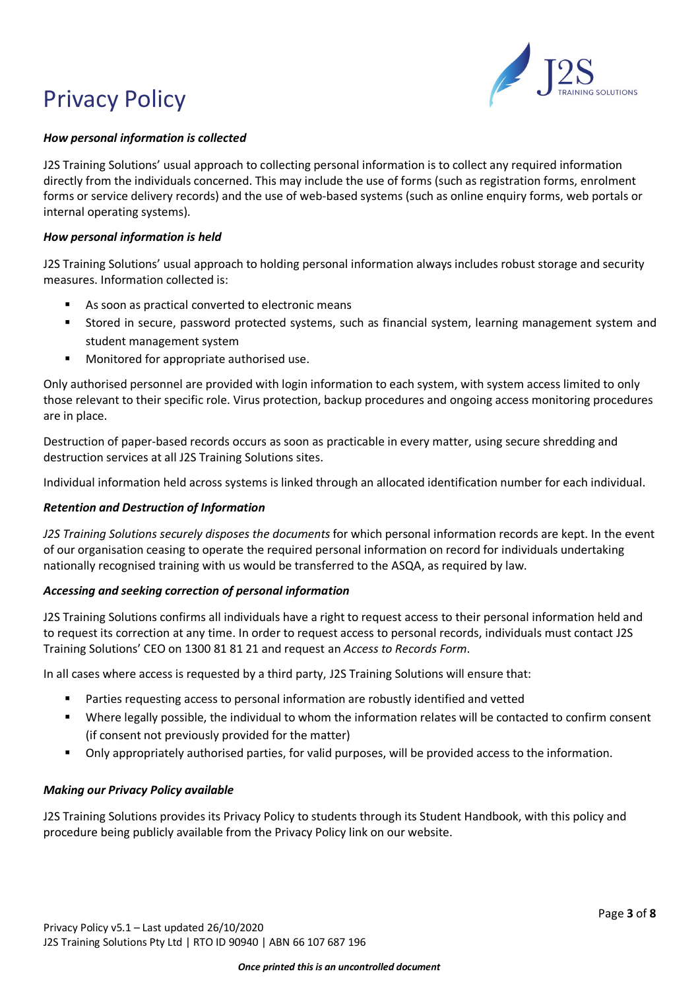

# *How personal information is collected*

J2S Training Solutions' usual approach to collecting personal information is to collect any required information directly from the individuals concerned. This may include the use of forms (such as registration forms, enrolment forms or service delivery records) and the use of web-based systems (such as online enquiry forms, web portals or internal operating systems).

#### *How personal information is held*

J2S Training Solutions' usual approach to holding personal information always includes robust storage and security measures. Information collected is:

- As soon as practical converted to electronic means
- Stored in secure, password protected systems, such as financial system, learning management system and student management system
- **Monitored for appropriate authorised use.**

Only authorised personnel are provided with login information to each system, with system access limited to only those relevant to their specific role. Virus protection, backup procedures and ongoing access monitoring procedures are in place.

Destruction of paper-based records occurs as soon as practicable in every matter, using secure shredding and destruction services at all J2S Training Solutions sites.

Individual information held across systems is linked through an allocated identification number for each individual.

### *Retention and Destruction of Information*

*J2S Training Solutions securely disposes the documents* for which personal information records are kept. In the event of our organisation ceasing to operate the required personal information on record for individuals undertaking nationally recognised training with us would be transferred to the ASQA, as required by law.

### *Accessing and seeking correction of personal information*

J2S Training Solutions confirms all individuals have a right to request access to their personal information held and to request its correction at any time. In order to request access to personal records, individuals must contact J2S Training Solutions' CEO on 1300 81 81 21 and request an *Access to Records Form*.

In all cases where access is requested by a third party, J2S Training Solutions will ensure that:

- Parties requesting access to personal information are robustly identified and vetted
- Where legally possible, the individual to whom the information relates will be contacted to confirm consent (if consent not previously provided for the matter)
- Only appropriately authorised parties, for valid purposes, will be provided access to the information.

### *Making our Privacy Policy available*

J2S Training Solutions provides its Privacy Policy to students through its Student Handbook, with this policy and procedure being publicly available from the Privacy Policy link on our website.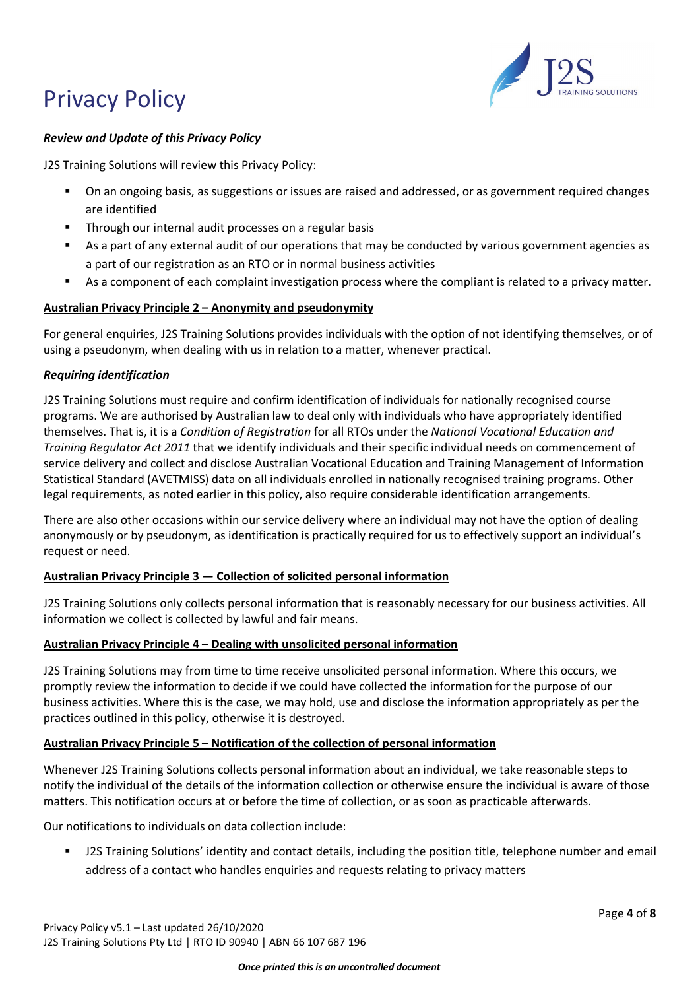

# *Review and Update of this Privacy Policy*

J2S Training Solutions will review this Privacy Policy:

- On an ongoing basis, as suggestions or issues are raised and addressed, or as government required changes are identified
- **Through our internal audit processes on a regular basis**
- As a part of any external audit of our operations that may be conducted by various government agencies as a part of our registration as an RTO or in normal business activities
- As a component of each complaint investigation process where the compliant is related to a privacy matter.

# **Australian Privacy Principle 2 – Anonymity and pseudonymity**

For general enquiries, J2S Training Solutions provides individuals with the option of not identifying themselves, or of using a pseudonym, when dealing with us in relation to a matter, whenever practical.

### *Requiring identification*

J2S Training Solutions must require and confirm identification of individuals for nationally recognised course programs. We are authorised by Australian law to deal only with individuals who have appropriately identified themselves. That is, it is a *Condition of Registration* for all RTOs under the *National Vocational Education and Training Regulator Act 2011* that we identify individuals and their specific individual needs on commencement of service delivery and collect and disclose Australian Vocational Education and Training Management of Information Statistical Standard (AVETMISS) data on all individuals enrolled in nationally recognised training programs. Other legal requirements, as noted earlier in this policy, also require considerable identification arrangements.

There are also other occasions within our service delivery where an individual may not have the option of dealing anonymously or by pseudonym, as identification is practically required for us to effectively support an individual's request or need.

### **Australian Privacy Principle 3 — Collection of solicited personal information**

J2S Training Solutions only collects personal information that is reasonably necessary for our business activities. All information we collect is collected by lawful and fair means.

# **Australian Privacy Principle 4 – Dealing with unsolicited personal information**

J2S Training Solutions may from time to time receive unsolicited personal information. Where this occurs, we promptly review the information to decide if we could have collected the information for the purpose of our business activities. Where this is the case, we may hold, use and disclose the information appropriately as per the practices outlined in this policy, otherwise it is destroyed.

### **Australian Privacy Principle 5 – Notification of the collection of personal information**

Whenever J2S Training Solutions collects personal information about an individual, we take reasonable steps to notify the individual of the details of the information collection or otherwise ensure the individual is aware of those matters. This notification occurs at or before the time of collection, or as soon as practicable afterwards.

Our notifications to individuals on data collection include:

 J2S Training Solutions' identity and contact details, including the position title, telephone number and email address of a contact who handles enquiries and requests relating to privacy matters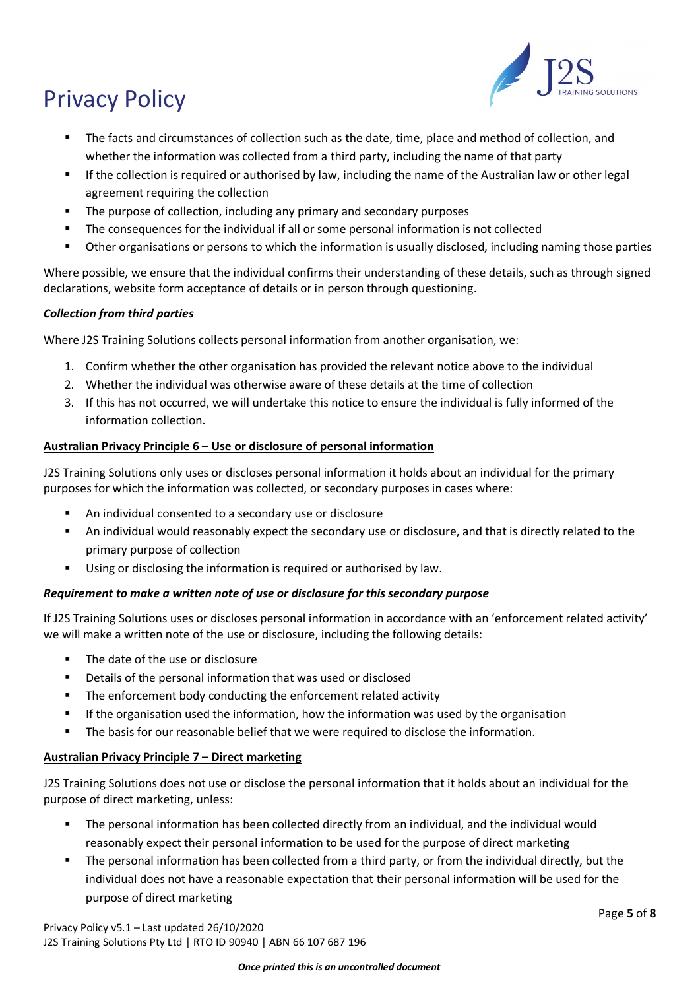

- The facts and circumstances of collection such as the date, time, place and method of collection, and whether the information was collected from a third party, including the name of that party
- If the collection is required or authorised by law, including the name of the Australian law or other legal agreement requiring the collection
- The purpose of collection, including any primary and secondary purposes
- The consequences for the individual if all or some personal information is not collected
- Other organisations or persons to which the information is usually disclosed, including naming those parties

Where possible, we ensure that the individual confirms their understanding of these details, such as through signed declarations, website form acceptance of details or in person through questioning.

# *Collection from third parties*

Where J2S Training Solutions collects personal information from another organisation, we:

- 1. Confirm whether the other organisation has provided the relevant notice above to the individual
- 2. Whether the individual was otherwise aware of these details at the time of collection
- 3. If this has not occurred, we will undertake this notice to ensure the individual is fully informed of the information collection.

# **Australian Privacy Principle 6 – Use or disclosure of personal information**

J2S Training Solutions only uses or discloses personal information it holds about an individual for the primary purposes for which the information was collected, or secondary purposes in cases where:

- An individual consented to a secondary use or disclosure
- An individual would reasonably expect the secondary use or disclosure, and that is directly related to the primary purpose of collection
- Using or disclosing the information is required or authorised by law.

### *Requirement to make a written note of use or disclosure for this secondary purpose*

If J2S Training Solutions uses or discloses personal information in accordance with an 'enforcement related activity' we will make a written note of the use or disclosure, including the following details:

- The date of the use or disclosure
- Details of the personal information that was used or disclosed
- **The enforcement body conducting the enforcement related activity**
- **If the organisation used the information, how the information was used by the organisation**
- The basis for our reasonable belief that we were required to disclose the information.

# **Australian Privacy Principle 7 – Direct marketing**

J2S Training Solutions does not use or disclose the personal information that it holds about an individual for the purpose of direct marketing, unless:

- The personal information has been collected directly from an individual, and the individual would reasonably expect their personal information to be used for the purpose of direct marketing
- The personal information has been collected from a third party, or from the individual directly, but the individual does not have a reasonable expectation that their personal information will be used for the purpose of direct marketing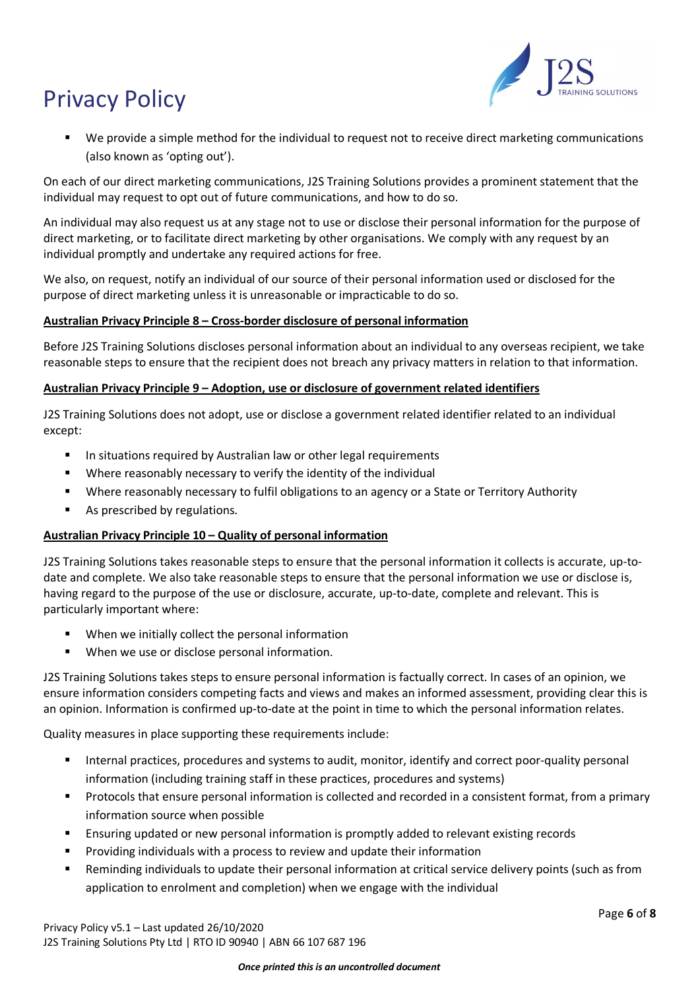

 We provide a simple method for the individual to request not to receive direct marketing communications (also known as 'opting out').

On each of our direct marketing communications, J2S Training Solutions provides a prominent statement that the individual may request to opt out of future communications, and how to do so.

An individual may also request us at any stage not to use or disclose their personal information for the purpose of direct marketing, or to facilitate direct marketing by other organisations. We comply with any request by an individual promptly and undertake any required actions for free.

We also, on request, notify an individual of our source of their personal information used or disclosed for the purpose of direct marketing unless it is unreasonable or impracticable to do so.

# **Australian Privacy Principle 8 – Cross-border disclosure of personal information**

Before J2S Training Solutions discloses personal information about an individual to any overseas recipient, we take reasonable steps to ensure that the recipient does not breach any privacy matters in relation to that information.

### **Australian Privacy Principle 9 – Adoption, use or disclosure of government related identifiers**

J2S Training Solutions does not adopt, use or disclose a government related identifier related to an individual except:

- **IF In situations required by Australian law or other legal requirements**
- Where reasonably necessary to verify the identity of the individual
- Where reasonably necessary to fulfil obligations to an agency or a State or Territory Authority
- As prescribed by regulations.

### **Australian Privacy Principle 10 – Quality of personal information**

J2S Training Solutions takes reasonable steps to ensure that the personal information it collects is accurate, up-todate and complete. We also take reasonable steps to ensure that the personal information we use or disclose is, having regard to the purpose of the use or disclosure, accurate, up-to-date, complete and relevant. This is particularly important where:

- When we initially collect the personal information
- When we use or disclose personal information.

J2S Training Solutions takes steps to ensure personal information is factually correct. In cases of an opinion, we ensure information considers competing facts and views and makes an informed assessment, providing clear this is an opinion. Information is confirmed up-to-date at the point in time to which the personal information relates.

Quality measures in place supporting these requirements include:

- Internal practices, procedures and systems to audit, monitor, identify and correct poor-quality personal information (including training staff in these practices, procedures and systems)
- **Protocols that ensure personal information is collected and recorded in a consistent format, from a primary** information source when possible
- **Ensuring updated or new personal information is promptly added to relevant existing records**
- Providing individuals with a process to review and update their information
- Reminding individuals to update their personal information at critical service delivery points (such as from application to enrolment and completion) when we engage with the individual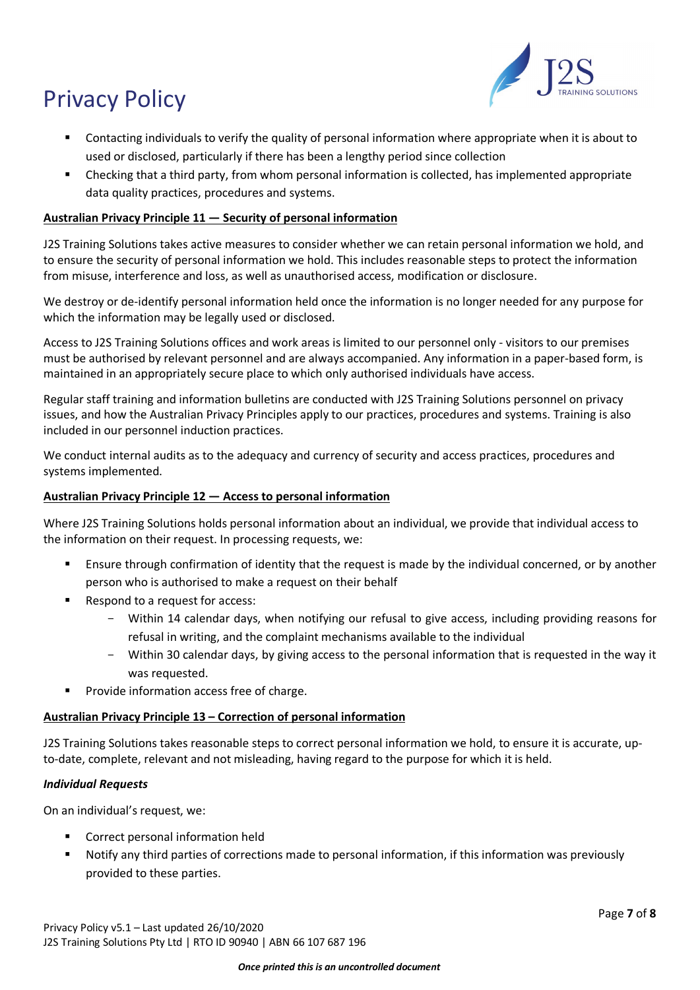

- Contacting individuals to verify the quality of personal information where appropriate when it is about to used or disclosed, particularly if there has been a lengthy period since collection
- Checking that a third party, from whom personal information is collected, has implemented appropriate data quality practices, procedures and systems.

# **Australian Privacy Principle 11 — Security of personal information**

J2S Training Solutions takes active measures to consider whether we can retain personal information we hold, and to ensure the security of personal information we hold. This includes reasonable steps to protect the information from misuse, interference and loss, as well as unauthorised access, modification or disclosure.

We destroy or de-identify personal information held once the information is no longer needed for any purpose for which the information may be legally used or disclosed.

Access to J2S Training Solutions offices and work areas is limited to our personnel only - visitors to our premises must be authorised by relevant personnel and are always accompanied. Any information in a paper-based form, is maintained in an appropriately secure place to which only authorised individuals have access.

Regular staff training and information bulletins are conducted with J2S Training Solutions personnel on privacy issues, and how the Australian Privacy Principles apply to our practices, procedures and systems. Training is also included in our personnel induction practices.

We conduct internal audits as to the adequacy and currency of security and access practices, procedures and systems implemented.

# **Australian Privacy Principle 12 — Access to personal information**

Where J2S Training Solutions holds personal information about an individual, we provide that individual access to the information on their request. In processing requests, we:

- Ensure through confirmation of identity that the request is made by the individual concerned, or by another person who is authorised to make a request on their behalf
- Respond to a request for access:
	- Within 14 calendar days, when notifying our refusal to give access, including providing reasons for refusal in writing, and the complaint mechanisms available to the individual
	- Within 30 calendar days, by giving access to the personal information that is requested in the way it was requested.
- Provide information access free of charge.

### **Australian Privacy Principle 13 – Correction of personal information**

J2S Training Solutions takes reasonable steps to correct personal information we hold, to ensure it is accurate, upto-date, complete, relevant and not misleading, having regard to the purpose for which it is held.

### *Individual Requests*

On an individual's request, we:

- Correct personal information held
- Notify any third parties of corrections made to personal information, if this information was previously provided to these parties.